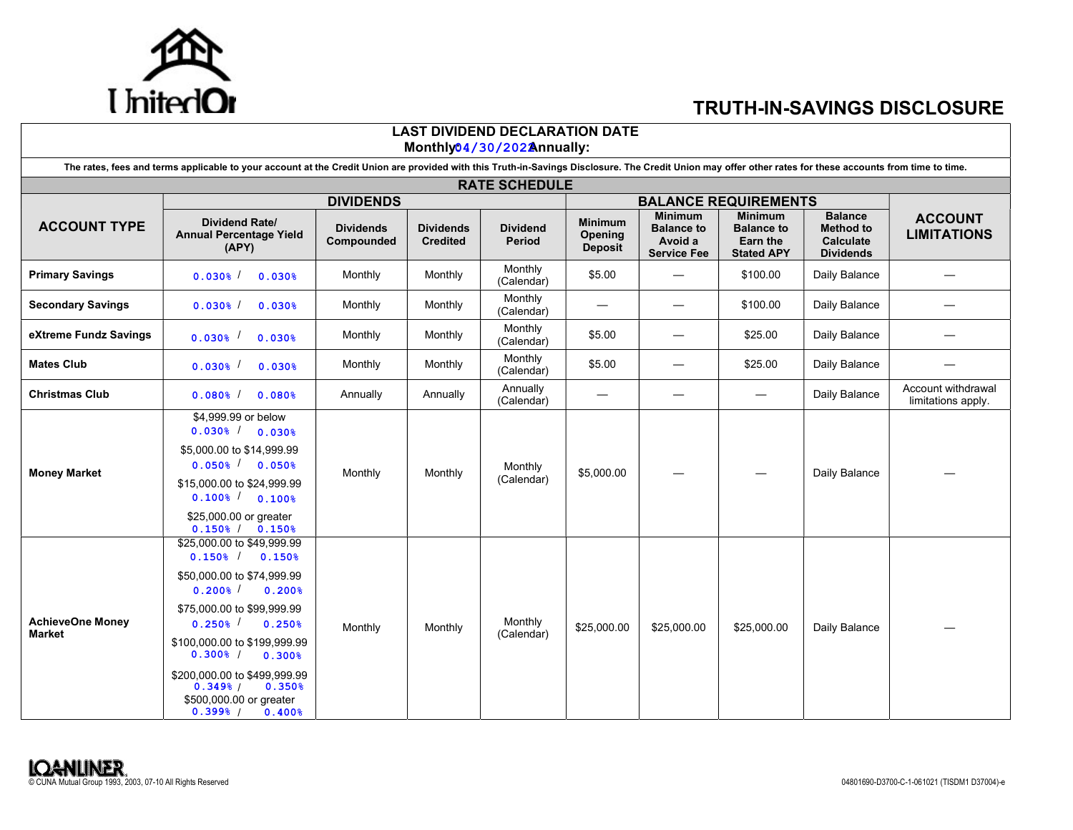

## TRUTH-IN-SAVINGS DISCLOSURE

|                                   |                                                                                                                                                                                                                                                                                                                                                                         |                                |                                     | <b>LAST DIVIDEND DECLARATION DATE</b><br>Monthly04/30/202Annually: |                                             |                                                                      |                                                                      |                                                                     |                                          |  |  |
|-----------------------------------|-------------------------------------------------------------------------------------------------------------------------------------------------------------------------------------------------------------------------------------------------------------------------------------------------------------------------------------------------------------------------|--------------------------------|-------------------------------------|--------------------------------------------------------------------|---------------------------------------------|----------------------------------------------------------------------|----------------------------------------------------------------------|---------------------------------------------------------------------|------------------------------------------|--|--|
|                                   | The rates, fees and terms applicable to your account at the Credit Union are provided with this Truth-in-Savings Disclosure. The Credit Union may offer other rates for these accounts from time to time.                                                                                                                                                               |                                |                                     |                                                                    |                                             |                                                                      |                                                                      |                                                                     |                                          |  |  |
|                                   |                                                                                                                                                                                                                                                                                                                                                                         |                                |                                     | <b>RATE SCHEDULE</b>                                               |                                             |                                                                      |                                                                      |                                                                     |                                          |  |  |
|                                   |                                                                                                                                                                                                                                                                                                                                                                         | <b>DIVIDENDS</b>               |                                     |                                                                    |                                             |                                                                      | <b>BALANCE REQUIREMENTS</b>                                          |                                                                     |                                          |  |  |
| <b>ACCOUNT TYPE</b>               | <b>Dividend Rate/</b><br><b>Annual Percentage Yield</b><br>(APY)                                                                                                                                                                                                                                                                                                        | <b>Dividends</b><br>Compounded | <b>Dividends</b><br><b>Credited</b> | <b>Dividend</b><br><b>Period</b>                                   | <b>Minimum</b><br>Opening<br><b>Deposit</b> | <b>Minimum</b><br><b>Balance to</b><br>Avoid a<br><b>Service Fee</b> | <b>Minimum</b><br><b>Balance to</b><br>Earn the<br><b>Stated APY</b> | <b>Balance</b><br><b>Method to</b><br>Calculate<br><b>Dividends</b> | <b>ACCOUNT</b><br><b>LIMITATIONS</b>     |  |  |
| <b>Primary Savings</b>            | 0.030%<br>$0.030$ <sup>\$</sup>                                                                                                                                                                                                                                                                                                                                         | Monthly                        | Monthly                             | Monthly<br>(Calendar)                                              | \$5.00                                      |                                                                      | \$100.00                                                             | Daily Balance                                                       |                                          |  |  |
| <b>Secondary Savings</b>          | $0.030$ <sup>\$</sup><br>0.030%                                                                                                                                                                                                                                                                                                                                         | Monthly                        | Monthly                             | Monthly<br>(Calendar)                                              |                                             | $\overbrace{\phantom{12322111}}$                                     | \$100.00                                                             | Daily Balance                                                       |                                          |  |  |
| eXtreme Fundz Savings             | $0.030$ <sup>2</sup><br>0.030%                                                                                                                                                                                                                                                                                                                                          | Monthly                        | Monthly                             | Monthly<br>(Calendar)                                              | \$5.00                                      | $\overbrace{\phantom{12322111}}$                                     | \$25.00                                                              | Daily Balance                                                       |                                          |  |  |
| <b>Mates Club</b>                 | $0.030$ <sup>\$</sup><br>0.030%                                                                                                                                                                                                                                                                                                                                         | Monthly                        | Monthly                             | Monthly<br>(Calendar)                                              | \$5.00                                      | $\overbrace{\phantom{12322111}}$                                     | \$25.00                                                              | Daily Balance                                                       |                                          |  |  |
| Christmas Club                    | $0.080$ <sup>\$</sup><br>0.080%                                                                                                                                                                                                                                                                                                                                         | Annually                       | Annually                            | Annually<br>(Calendar)                                             | $\hspace{0.05cm}$                           |                                                                      | $\overbrace{\phantom{13333}}$                                        | Daily Balance                                                       | Account withdrawal<br>limitations apply. |  |  |
| <b>Money Market</b>               | \$4,999.99 or below<br>$0.030$ <sup>%</sup> $/$ 0.030 <sup>%</sup><br>\$5,000.00 to \$14,999.99<br>$0.050\frac{1}{6}$ $0.050\frac{1}{6}$<br>\$15,000.00 to \$24,999.99<br>$0.100$ <sup>%</sup> $\begin{array}{ccc} 0.1008 & 0.1008 \end{array}$<br>\$25,000.00 or greater<br>$0.150$ <sup>%</sup> / $0.150$ <sup>%</sup>                                                | Monthly                        | Monthly                             | Monthly<br>(Calendar)                                              | \$5,000.00                                  |                                                                      |                                                                      | Daily Balance                                                       |                                          |  |  |
| <b>AchieveOne Money</b><br>Market | \$25,000.00 to \$49,999.99<br>$0.150$ <sup>%</sup> / $0.150$ <sup>%</sup><br>\$50,000.00 to \$74,999.99<br>$0.200$ <sup>8</sup><br>0.200%<br>\$75,000.00 to \$99,999.99<br>$0.250$ <sup>1</sup><br>0.250%<br>\$100,000.00 to \$199,999.99<br>$0.300%$ /<br>0.300%<br>\$200,000.00 to \$499,999.99<br>0.350%<br>$0.349%$ /<br>\$500,000.00 or greater<br>0.399% / 0.400% | Monthly                        | Monthly                             | Monthly<br>(Calendar)                                              | \$25,000.00                                 | \$25,000.00                                                          | \$25,000.00                                                          | Daily Balance                                                       |                                          |  |  |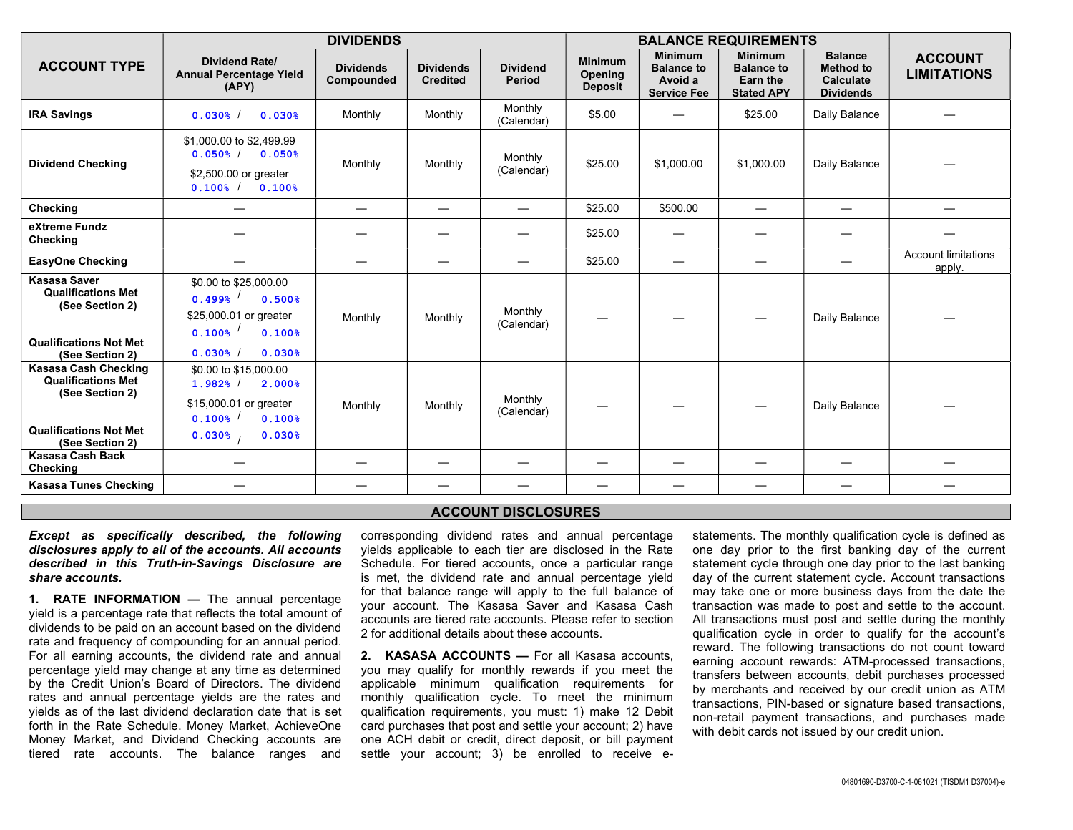|                                                                                                                                 | <b>DIVIDENDS</b>                                                                                                                                |                                 |                                     |                               | <b>BALANCE REQUIREMENTS</b>                 |                                                                      |                                                                      |                                                                            |                                      |
|---------------------------------------------------------------------------------------------------------------------------------|-------------------------------------------------------------------------------------------------------------------------------------------------|---------------------------------|-------------------------------------|-------------------------------|---------------------------------------------|----------------------------------------------------------------------|----------------------------------------------------------------------|----------------------------------------------------------------------------|--------------------------------------|
| <b>ACCOUNT TYPE</b>                                                                                                             | <b>Dividend Rate/</b><br><b>Annual Percentage Yield</b><br>(APY)                                                                                | <b>Dividends</b><br>Compounded  | <b>Dividends</b><br><b>Credited</b> | <b>Dividend</b><br>Period     | <b>Minimum</b><br>Opening<br><b>Deposit</b> | <b>Minimum</b><br><b>Balance to</b><br>Avoid a<br><b>Service Fee</b> | <b>Minimum</b><br><b>Balance to</b><br>Earn the<br><b>Stated APY</b> | <b>Balance</b><br><b>Method to</b><br><b>Calculate</b><br><b>Dividends</b> | <b>ACCOUNT</b><br><b>LIMITATIONS</b> |
| <b>IRA Savings</b>                                                                                                              | 0.030%<br>$0.030$ <sup>\$</sup>                                                                                                                 | Monthly                         | Monthly                             | Monthly<br>(Calendar)         | \$5.00                                      |                                                                      | \$25.00                                                              | Daily Balance                                                              |                                      |
| <b>Dividend Checking</b>                                                                                                        | \$1,000.00 to \$2,499.99<br>$0.050$ <sup>%</sup> / $0.050$ <sup>%</sup><br>\$2,500.00 or greater<br>$0.100$ <sup>%</sup> / $0.100$ <sup>%</sup> | Monthly                         | Monthly                             | Monthly<br>(Calendar)         | \$25.00                                     | \$1,000.00                                                           | \$1,000.00                                                           | Daily Balance                                                              |                                      |
| Checking                                                                                                                        | $\overline{\phantom{m}}$                                                                                                                        | $\hspace{0.1mm}-\hspace{0.1mm}$ |                                     |                               | \$25.00                                     | \$500.00                                                             |                                                                      | $\hspace{0.1mm}-\hspace{0.1mm}$                                            |                                      |
| eXtreme Fundz<br>Checking                                                                                                       |                                                                                                                                                 |                                 |                                     |                               | \$25.00                                     |                                                                      |                                                                      |                                                                            |                                      |
| <b>EasyOne Checking</b>                                                                                                         |                                                                                                                                                 | —                               |                                     | $\overbrace{\phantom{13333}}$ | \$25.00                                     |                                                                      |                                                                      |                                                                            | <b>Account limitations</b><br>apply. |
| <b>Kasasa Saver</b><br><b>Qualifications Met</b><br>(See Section 2)<br><b>Qualifications Not Met</b><br>(See Section 2)         | \$0.00 to \$25,000.00<br>$0.499$ <sup>6</sup><br>0.500%<br>\$25,000.01 or greater<br>$0.100$ <sup>8</sup><br>0.100%<br>0.030%<br>0.030%         | Monthly                         | Monthly                             | Monthly<br>(Calendar)         | —                                           |                                                                      |                                                                      | Daily Balance                                                              |                                      |
| <b>Kasasa Cash Checking</b><br><b>Qualifications Met</b><br>(See Section 2)<br><b>Qualifications Not Met</b><br>(See Section 2) | \$0.00 to \$15,000.00<br>$1.982%$ /<br>2.000%<br>\$15,000.01 or greater<br>$0.100$ <sup>8</sup><br>0.100%<br>0.030%<br>0.030%                   | Monthly                         | Monthly                             | Monthly<br>(Calendar)         | —                                           |                                                                      |                                                                      | Daily Balance                                                              |                                      |
| <b>Kasasa Cash Back</b><br>Checking                                                                                             |                                                                                                                                                 |                                 |                                     |                               | —                                           |                                                                      |                                                                      |                                                                            | —                                    |
| <b>Kasasa Tunes Checking</b>                                                                                                    |                                                                                                                                                 |                                 |                                     |                               | $\overline{\phantom{m}}$                    |                                                                      |                                                                      | $\hspace{0.1mm}-\hspace{0.1mm}$                                            | $\overline{\phantom{0}}$             |

## ACCOUNT DISCLOSURES

## Except as specifically described, the following disclosures apply to all of the accounts. All accounts described in this Truth-in-Savings Disclosure are share accounts.

1. RATE INFORMATION — The annual percentage yield is a percentage rate that reflects the total amount of dividends to be paid on an account based on the dividend rate and frequency of compounding for an annual period. For all earning accounts, the dividend rate and annual percentage yield may change at any time as determined by the Credit Union's Board of Directors. The dividend rates and annual percentage yields are the rates and yields as of the last dividend declaration date that is set forth in the Rate Schedule. Money Market, AchieveOne Money Market, and Dividend Checking accounts are tiered rate accounts. The balance ranges and

corresponding dividend rates and annual percentage yields applicable to each tier are disclosed in the Rate Schedule. For tiered accounts, once a particular range is met, the dividend rate and annual percentage yield for that balance range will apply to the full balance of your account. The Kasasa Saver and Kasasa Cash accounts are tiered rate accounts. Please refer to section 2 for additional details about these accounts.

2. KASASA ACCOUNTS — For all Kasasa accounts. you may qualify for monthly rewards if you meet the applicable minimum qualification requirements for monthly qualification cycle. To meet the minimum qualification requirements, you must: 1) make 12 Debit card purchases that post and settle your account; 2) have one ACH debit or credit, direct deposit, or bill payment settle your account; 3) be enrolled to receive estatements. The monthly qualification cycle is defined as one day prior to the first banking day of the current statement cycle through one day prior to the last banking day of the current statement cycle. Account transactions may take one or more business days from the date the transaction was made to post and settle to the account. All transactions must post and settle during the monthly qualification cycle in order to qualify for the account's reward. The following transactions do not count toward earning account rewards: ATM-processed transactions, transfers between accounts, debit purchases processed by merchants and received by our credit union as ATM transactions, PIN-based or signature based transactions, non-retail payment transactions, and purchases made with debit cards not issued by our credit union.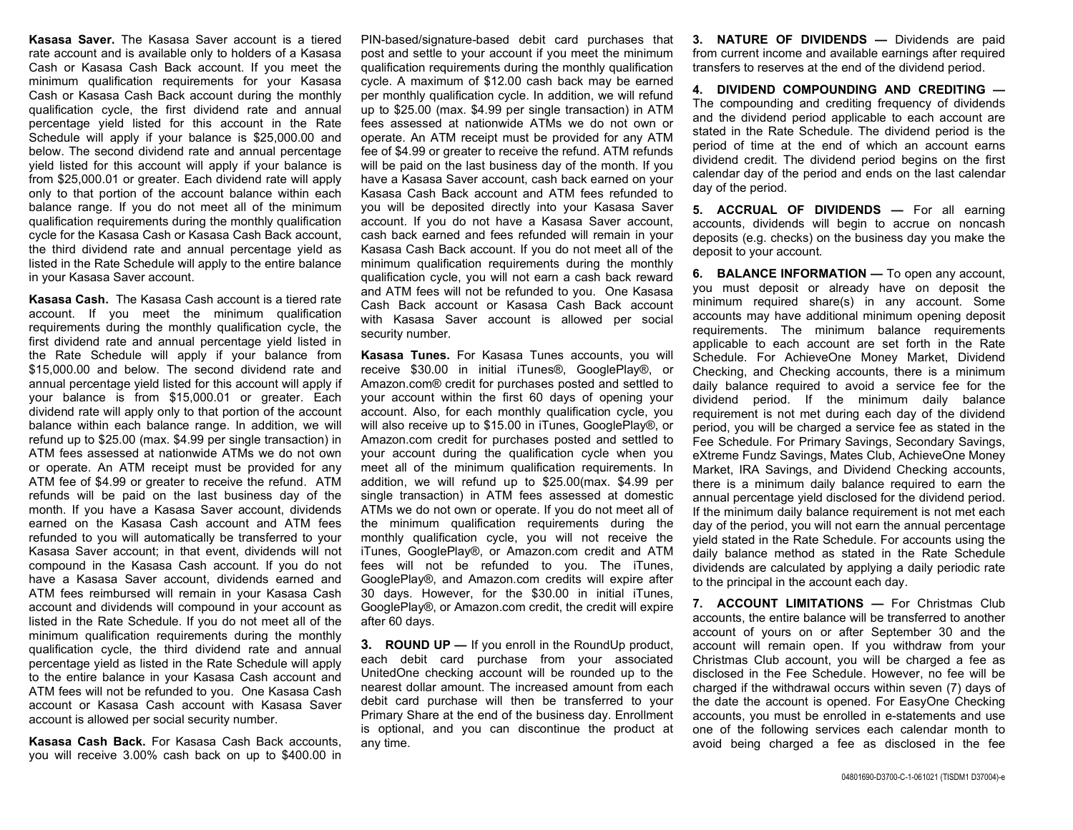Kasasa Saver. The Kasasa Saver account is a tiered rate account and is available only to holders of a Kasasa Cash or Kasasa Cash Back account. If you meet the minimum qualification requirements for your Kasasa Cash or Kasasa Cash Back account during the monthly qualification cycle, the first dividend rate and annual percentage yield listed for this account in the Rate Schedule will apply if your balance is \$25,000.00 and below. The second dividend rate and annual percentage yield listed for this account will apply if your balance is from \$25,000.01 or greater. Each dividend rate will apply only to that portion of the account balance within each balance range. If you do not meet all of the minimum qualification requirements during the monthly qualification cycle for the Kasasa Cash or Kasasa Cash Back account, the third dividend rate and annual percentage yield as listed in the Rate Schedule will apply to the entire balance in your Kasasa Saver account.

Kasasa Cash. The Kasasa Cash account is a tiered rate account. If you meet the minimum qualification requirements during the monthly qualification cycle, the first dividend rate and annual percentage yield listed in the Rate Schedule will apply if your balance from \$15,000.00 and below. The second dividend rate and annual percentage yield listed for this account will apply if your balance is from \$15,000.01 or greater. Each dividend rate will apply only to that portion of the account balance within each balance range. In addition, we will refund up to \$25.00 (max. \$4.99 per single transaction) in ATM fees assessed at nationwide ATMs we do not own or operate. An ATM receipt must be provided for any ATM fee of \$4.99 or greater to receive the refund. ATM refunds will be paid on the last business day of the month. If you have a Kasasa Saver account, dividends earned on the Kasasa Cash account and ATM fees refunded to you will automatically be transferred to your Kasasa Saver account; in that event, dividends will not compound in the Kasasa Cash account. If you do not have a Kasasa Saver account, dividends earned and ATM fees reimbursed will remain in your Kasasa Cash account and dividends will compound in your account as listed in the Rate Schedule. If you do not meet all of the minimum qualification requirements during the monthly qualification cycle, the third dividend rate and annual percentage yield as listed in the Rate Schedule will apply to the entire balance in your Kasasa Cash account and ATM fees will not be refunded to you. One Kasasa Cash account or Kasasa Cash account with Kasasa Saver account is allowed per social security number.

Kasasa Cash Back. For Kasasa Cash Back accounts, you will receive 3.00% cash back on up to \$400.00 in

PIN-based/signature-based debit card purchases that post and settle to your account if you meet the minimum qualification requirements during the monthly qualification cycle. A maximum of \$12.00 cash back may be earned per monthly qualification cycle. In addition, we will refund up to \$25.00 (max. \$4.99 per single transaction) in ATM fees assessed at nationwide ATMs we do not own or operate. An ATM receipt must be provided for any ATM fee of \$4.99 or greater to receive the refund. ATM refunds will be paid on the last business day of the month. If you have a Kasasa Saver account, cash back earned on your Kasasa Cash Back account and ATM fees refunded to you will be deposited directly into your Kasasa Saver account. If you do not have a Kasasa Saver account, cash back earned and fees refunded will remain in your Kasasa Cash Back account. If you do not meet all of the minimum qualification requirements during the monthly qualification cycle, you will not earn a cash back reward and ATM fees will not be refunded to you. One Kasasa Cash Back account or Kasasa Cash Back account with Kasasa Saver account is allowed per social security number.

Kasasa Tunes. For Kasasa Tunes accounts, you will receive \$30.00 in initial iTunes®, GooglePlay®, or Amazon.com® credit for purchases posted and settled to your account within the first 60 days of opening your account. Also, for each monthly qualification cycle, you will also receive up to \$15.00 in iTunes, GooglePlay®, or Amazon.com credit for purchases posted and settled to your account during the qualification cycle when you meet all of the minimum qualification requirements. In addition, we will refund up to \$25.00(max. \$4.99 per single transaction) in ATM fees assessed at domestic ATMs we do not own or operate. If you do not meet all of the minimum qualification requirements during the monthly qualification cycle, you will not receive the iTunes, GooglePlay®, or Amazon.com credit and ATM fees will not be refunded to you. The iTunes, GooglePlay®, and Amazon.com credits will expire after 30 days. However, for the \$30.00 in initial iTunes, GooglePlay®, or Amazon.com credit, the credit will expire after 60 days.

**3. ROUND UP — If you enroll in the RoundUp product,** each debit card purchase from your associated UnitedOne checking account will be rounded up to the nearest dollar amount. The increased amount from each debit card purchase will then be transferred to your Primary Share at the end of the business day. Enrollment is optional, and you can discontinue the product at any time.

3. NATURE OF DIVIDENDS — Dividends are paid from current income and available earnings after required transfers to reserves at the end of the dividend period.

4. DIVIDEND COMPOUNDING AND CREDITING — The compounding and crediting frequency of dividends and the dividend period applicable to each account are stated in the Rate Schedule. The dividend period is the period of time at the end of which an account earns dividend credit. The dividend period begins on the first calendar day of the period and ends on the last calendar day of the period.

5. ACCRUAL OF DIVIDENDS - For all earning accounts, dividends will begin to accrue on noncash deposits (e.g. checks) on the business day you make the deposit to your account.

6. BALANCE INFORMATION — To open any account, you must deposit or already have on deposit the minimum required share(s) in any account. Some accounts may have additional minimum opening deposit requirements. The minimum balance requirements applicable to each account are set forth in the Rate Schedule. For AchieveOne Money Market, Dividend Checking, and Checking accounts, there is a minimum daily balance required to avoid a service fee for the dividend period. If the minimum daily balance requirement is not met during each day of the dividend period, you will be charged a service fee as stated in the Fee Schedule. For Primary Savings, Secondary Savings, eXtreme Fundz Savings, Mates Club, AchieveOne Money Market, IRA Savings, and Dividend Checking accounts, there is a minimum daily balance required to earn the annual percentage yield disclosed for the dividend period. If the minimum daily balance requirement is not met each day of the period, you will not earn the annual percentage yield stated in the Rate Schedule. For accounts using the daily balance method as stated in the Rate Schedule dividends are calculated by applying a daily periodic rate to the principal in the account each day.

7. ACCOUNT LIMITATIONS - For Christmas Club accounts, the entire balance will be transferred to another account of yours on or after September 30 and the account will remain open. If you withdraw from your Christmas Club account, you will be charged a fee as disclosed in the Fee Schedule. However, no fee will be charged if the withdrawal occurs within seven (7) days of the date the account is opened. For EasyOne Checking accounts, you must be enrolled in e-statements and use one of the following services each calendar month to avoid being charged a fee as disclosed in the fee